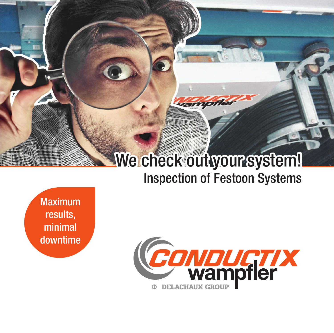## We check out your system! Inspection of Festoon Systems

vampfle

Maximum results, minimal downtime

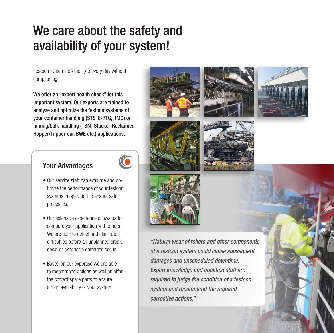## We care about the safety and availability of your system!

Festoon systems do their job every day without complaining!

We offer an "expert health check" for this important system. Our experts are trained to analyze and optimize the festoon systems of your container handling (STS, E-RTG, RMG) or mining/bulk handling (TBM, Stacker-Reclaimer, Hopper/Tripper-car, BWE etc.) applications.

### Your Advantages



- Our service staff can evaluate and optimize the performance of your festoon systems in operation to ensure safe processes.
- Our extensive experience allows us to compare your application with others. We are able to detect and eliminate difficulties before an unplanned breakdown or expensive damages occur.
- Based on our expertise we are able to recommend actions as well as offer the correct spare parts to ensure a high availability of your system.











"Natural wear of rollers and other components of a festoon system could cause subsequent damages and unscheduled downtime. Expert knowledge and qualified staff are required to judge the condition of a festoon system and recommend the required corrective actions."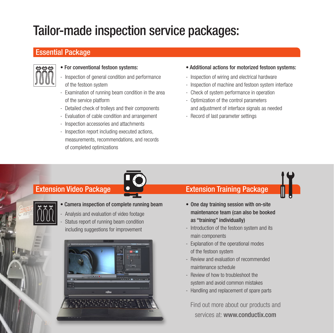## Tailor-made inspection service packages:

### Essential Package



### • For conventional festoon systems:

- Inspection of general condition and performance of the festoon system
- Examination of running beam condition in the area of the service platform
- Detailed check of trolleys and their components
- Evaluation of cable condition and arrangement
- Inspection accessories and attachments
- Inspection report including executed actions, measurements, recommendations, and records of completed optimizations
- Additional actions for motorized festoon systems:
- Inspection of wiring and electrical hardware
- Inspection of machine and festoon system interface
- Check of system performance in operation
- Optimization of the control parameters and adjustment of interface signals as needed
- Record of last parameter settings



### • Camera inspection of complete running beam

- Analysis and evaluation of video footage Status report of running beam condition including suggestions for improvement



### Extension Video Package **Calculate Canadian Extension Training Package**

- One day training session with on-site maintenance team (can also be booked as "training" individually)
- Introduction of the festoon system and its main components
- Explanation of the operational modes of the festoon system
- Review and evaluation of recommended maintenance schedule
- Review of how to troubleshoot the system and avoid common mistakes
- Handling and replacement of spare parts

Find out more about our products and services at: www.conductix.com